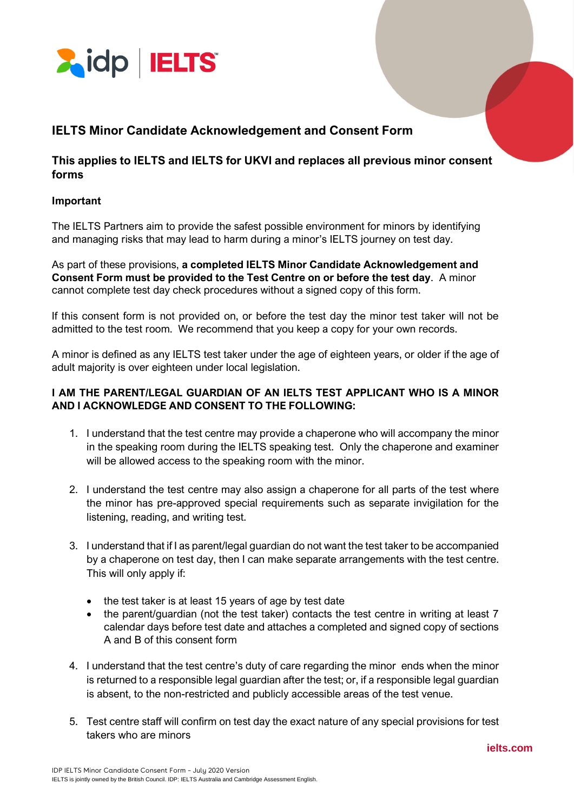

# **IELTS Minor Candidate Acknowledgement and Consent Form**

### **This applies to IELTS and IELTS for UKVI and replaces all previous minor consent forms**

### **Important**

The IELTS Partners aim to provide the safest possible environment for minors by identifying and managing risks that may lead to harm during a minor's IELTS journey on test day.

As part of these provisions, **a completed IELTS Minor Candidate Acknowledgement and Consent Form must be provided to the Test Centre on or before the test day**. A minor cannot complete test day check procedures without a signed copy of this form.

If this consent form is not provided on, or before the test day the minor test taker will not be admitted to the test room. We recommend that you keep a copy for your own records.

A minor is defined as any IELTS test taker under the age of eighteen years, or older if the age of adult majority is over eighteen under local legislation.

### **I AM THE PARENT/LEGAL GUARDIAN OF AN IELTS TEST APPLICANT WHO IS A MINOR AND I ACKNOWLEDGE AND CONSENT TO THE FOLLOWING:**

- 1. I understand that the test centre may provide a chaperone who will accompany the minor in the speaking room during the IELTS speaking test. Only the chaperone and examiner will be allowed access to the speaking room with the minor.
- 2. I understand the test centre may also assign a chaperone for all parts of the test where the minor has pre-approved special requirements such as separate invigilation for the listening, reading, and writing test.
- 3. I understand that if I as parent/legal guardian do not want the test taker to be accompanied by a chaperone on test day, then I can make separate arrangements with the test centre. This will only apply if:
	- the test taker is at least 15 years of age by test date
	- the parent/guardian (not the test taker) contacts the test centre in writing at least 7 calendar days before test date and attaches a completed and signed copy of sections A and B of this consent form
- 4. I understand that the test centre's duty of care regarding the minor ends when the minor is returned to a responsible legal guardian after the test; or, if a responsible legal guardian is absent, to the non-restricted and publicly accessible areas of the test venue.
- 5. Test centre staff will confirm on test day the exact nature of any special provisions for test takers who are minors